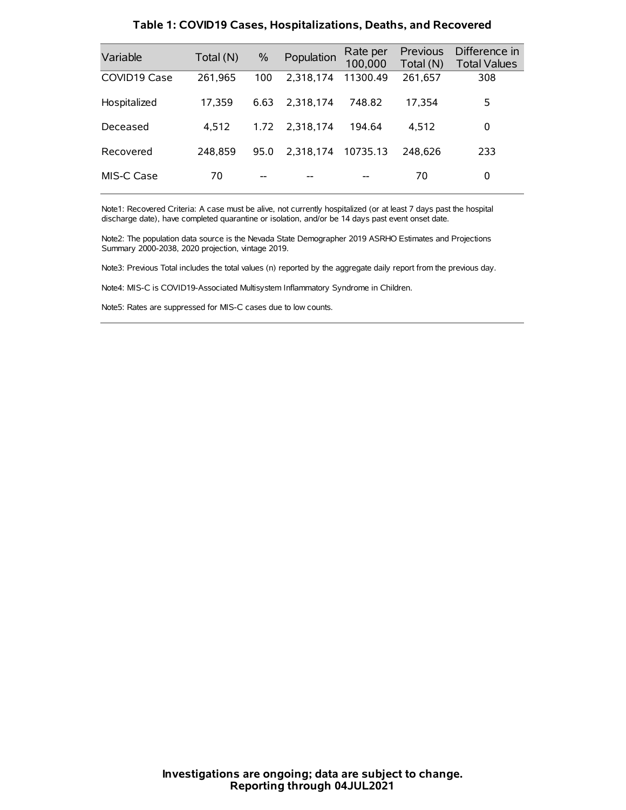| Variable     | Total (N) | $\%$ | Population | Rate per<br>100,000 | Previous<br>Total (N) | Difference in<br><b>Total Values</b> |
|--------------|-----------|------|------------|---------------------|-----------------------|--------------------------------------|
| COVID19 Case | 261.965   | 100  | 2.318.174  | 11300.49            | 261,657               | 308                                  |
| Hospitalized | 17,359    | 6.63 | 2.318.174  | 748.82              | 17,354                | 5                                    |
| Deceased     | 4.512     | 1.72 | 2.318.174  | 194.64              | 4.512                 | 0                                    |
| Recovered    | 248.859   | 95.0 | 2.318.174  | 10735.13            | 248.626               | 233                                  |
| MIS-C Case   | 70        | --   |            |                     | 70                    | 0                                    |

#### **Table 1: COVID19 Cases, Hospitalizations, Deaths, and Recovered**

Note1: Recovered Criteria: A case must be alive, not currently hospitalized (or at least 7 days past the hospital discharge date), have completed quarantine or isolation, and/or be 14 days past event onset date.

Note2: The population data source is the Nevada State Demographer 2019 ASRHO Estimates and Projections Summary 2000-2038, 2020 projection, vintage 2019.

Note3: Previous Total includes the total values (n) reported by the aggregate daily report from the previous day.

Note4: MIS-C is COVID19-Associated Multisystem Inflammatory Syndrome in Children.

Note5: Rates are suppressed for MIS-C cases due to low counts.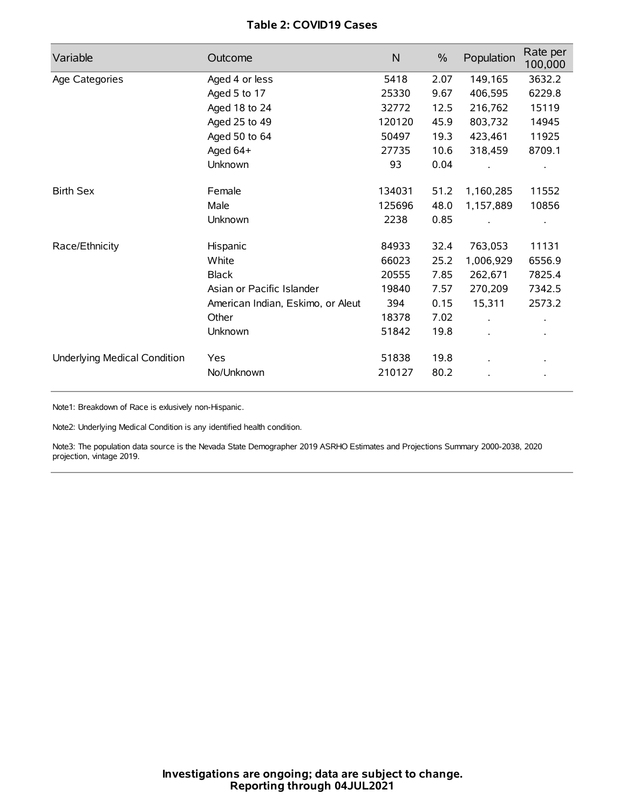## **Table 2: COVID19 Cases**

| Variable                     | Outcome                           | $\mathsf{N}$ | $\%$ | Population | Rate per<br>100,000 |
|------------------------------|-----------------------------------|--------------|------|------------|---------------------|
| Age Categories               | Aged 4 or less                    | 5418         | 2.07 | 149,165    | 3632.2              |
|                              | Aged 5 to 17                      | 25330        | 9.67 | 406,595    | 6229.8              |
|                              | Aged 18 to 24                     | 32772        | 12.5 | 216,762    | 15119               |
|                              | Aged 25 to 49                     | 120120       | 45.9 | 803,732    | 14945               |
|                              | Aged 50 to 64                     | 50497        | 19.3 | 423,461    | 11925               |
|                              | Aged 64+                          | 27735        | 10.6 | 318,459    | 8709.1              |
|                              | Unknown                           | 93           | 0.04 |            |                     |
| <b>Birth Sex</b>             | Female                            | 134031       | 51.2 | 1,160,285  | 11552               |
|                              | Male                              | 125696       | 48.0 | 1,157,889  | 10856               |
|                              | Unknown                           | 2238         | 0.85 |            |                     |
| Race/Ethnicity               | Hispanic                          | 84933        | 32.4 | 763,053    | 11131               |
|                              | White                             | 66023        | 25.2 | 1,006,929  | 6556.9              |
|                              | <b>Black</b>                      | 20555        | 7.85 | 262,671    | 7825.4              |
|                              | Asian or Pacific Islander         | 19840        | 7.57 | 270,209    | 7342.5              |
|                              | American Indian, Eskimo, or Aleut | 394          | 0.15 | 15,311     | 2573.2              |
|                              | Other                             | 18378        | 7.02 |            |                     |
|                              | Unknown                           | 51842        | 19.8 |            |                     |
| Underlying Medical Condition | Yes                               | 51838        | 19.8 |            |                     |
|                              | No/Unknown                        | 210127       | 80.2 |            |                     |

Note1: Breakdown of Race is exlusively non-Hispanic.

Note2: Underlying Medical Condition is any identified health condition.

Note3: The population data source is the Nevada State Demographer 2019 ASRHO Estimates and Projections Summary 2000-2038, 2020 projection, vintage 2019.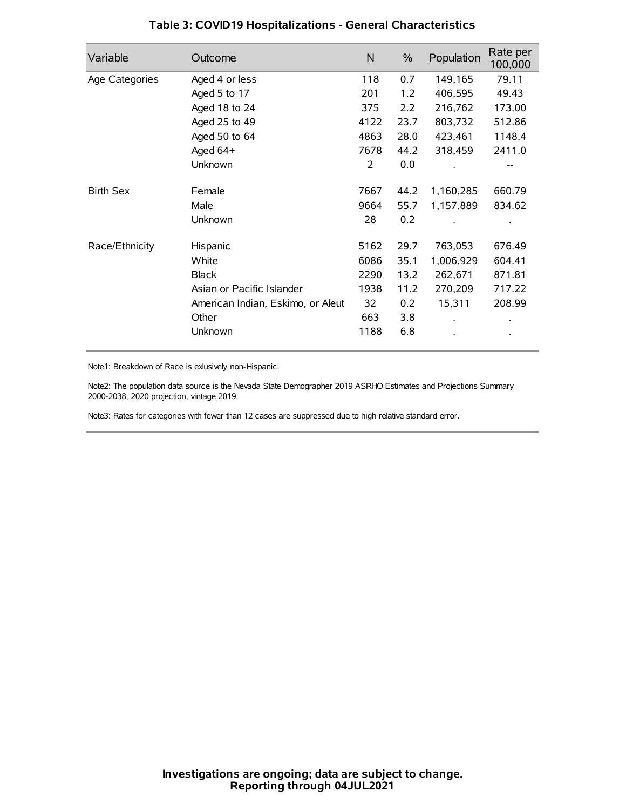| Variable         | Outcome                           | N    | $\%$ | Population | Rate per<br>100,000 |
|------------------|-----------------------------------|------|------|------------|---------------------|
| Age Categories   | Aged 4 or less                    | 118  | 0.7  | 149,165    | 79.11               |
|                  | Aged 5 to 17                      | 201  | 1.2  | 406,595    | 49.43               |
|                  | Aged 18 to 24                     | 375  | 2.2  | 216,762    | 173.00              |
|                  | Aged 25 to 49                     | 4122 | 23.7 | 803,732    | 512.86              |
|                  | Aged 50 to 64                     | 4863 | 28.0 | 423,461    | 1148.4              |
|                  | Aged 64+                          | 7678 | 44.2 | 318,459    | 2411.0              |
|                  | Unknown                           | 2    | 0.0  |            |                     |
| <b>Birth Sex</b> | Female                            | 7667 | 44.2 | 1,160,285  | 660.79              |
|                  | Male                              | 9664 | 55.7 | 1,157,889  | 834.62              |
|                  | Unknown                           | 28   | 0.2  |            |                     |
| Race/Ethnicity   | Hispanic                          | 5162 | 29.7 | 763,053    | 676.49              |
|                  | White                             | 6086 | 35.1 | 1,006,929  | 604.41              |
|                  | <b>Black</b>                      | 2290 | 13.2 | 262,671    | 871.81              |
|                  | Asian or Pacific Islander         | 1938 | 11.2 | 270,209    | 717.22              |
|                  | American Indian, Eskimo, or Aleut | 32   | 0.2  | 15,311     | 208.99              |
|                  | Other                             | 663  | 3.8  |            |                     |
|                  | Unknown                           | 1188 | 6.8  |            |                     |

### **Table 3: COVID19 Hospitalizations - General Characteristics**

Note1: Breakdown of Race is exlusively non-Hispanic.

Note2: The population data source is the Nevada State Demographer 2019 ASRHO Estimates and Projections Summary 2000-2038, 2020 projection, vintage 2019.

Note3: Rates for categories with fewer than 12 cases are suppressed due to high relative standard error.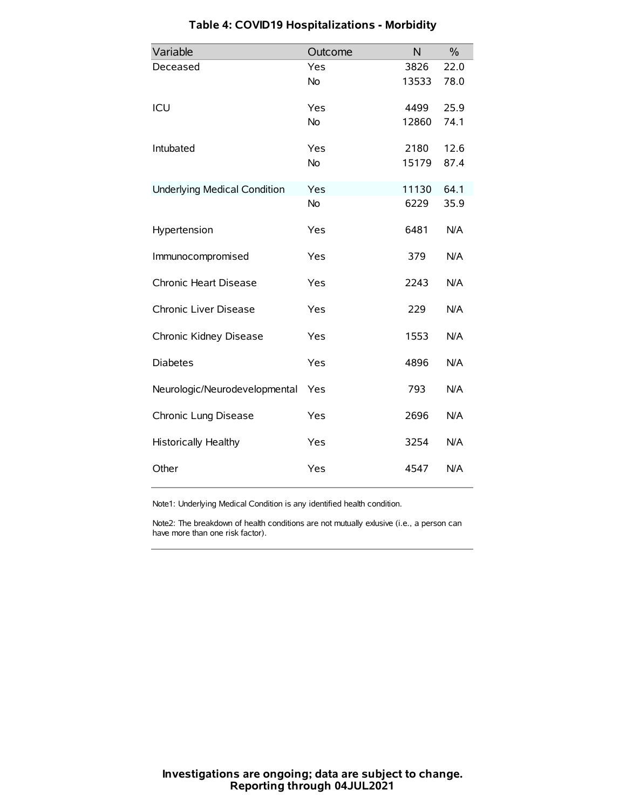| Variable                            | Outcome   | N     | $\%$ |
|-------------------------------------|-----------|-------|------|
| Deceased                            | Yes       | 3826  | 22.0 |
|                                     | No        | 13533 | 78.0 |
| ICU                                 | Yes       | 4499  | 25.9 |
|                                     | <b>No</b> | 12860 | 74.1 |
| Intubated                           | Yes       | 2180  | 12.6 |
|                                     | No        | 15179 | 87.4 |
| <b>Underlying Medical Condition</b> | Yes       | 11130 | 64.1 |
|                                     | <b>No</b> | 6229  | 35.9 |
| Hypertension                        | Yes       | 6481  | N/A  |
| Immunocompromised                   | Yes       | 379   | N/A  |
| Chronic Heart Disease               | Yes       | 2243  | N/A  |
| Chronic Liver Disease               | Yes       | 229   | N/A  |
| Chronic Kidney Disease              | Yes       | 1553  | N/A  |
| <b>Diabetes</b>                     | Yes       | 4896  | N/A  |
| Neurologic/Neurodevelopmental       | Yes       | 793   | N/A  |
| Chronic Lung Disease                | Yes       | 2696  | N/A  |
| <b>Historically Healthy</b>         | Yes       | 3254  | N/A  |
| Other                               | Yes       | 4547  | N/A  |

# **Table 4: COVID19 Hospitalizations - Morbidity**

Note1: Underlying Medical Condition is any identified health condition.

Note2: The breakdown of health conditions are not mutually exlusive (i.e., a person can have more than one risk factor).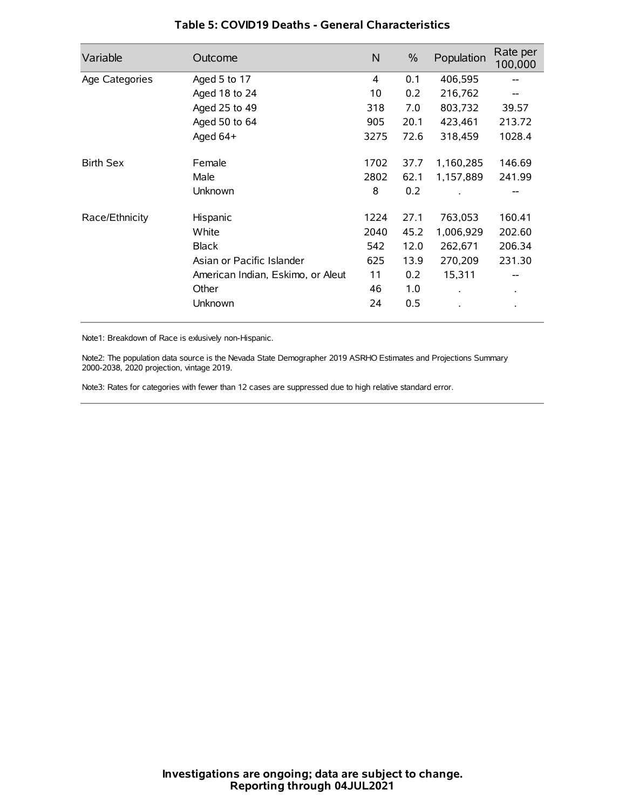| Variable         | Outcome                           | N    | $\%$ | Population           | Rate per<br>100,000 |
|------------------|-----------------------------------|------|------|----------------------|---------------------|
| Age Categories   | Aged 5 to 17                      | 4    | 0.1  | 406,595              | --                  |
|                  | Aged 18 to 24                     | 10   | 0.2  | 216,762              |                     |
|                  | Aged 25 to 49                     | 318  | 7.0  | 803,732              | 39.57               |
|                  | Aged 50 to 64                     | 905  | 20.1 | 423,461              | 213.72              |
|                  | Aged 64+                          | 3275 | 72.6 | 318,459              | 1028.4              |
| <b>Birth Sex</b> | Female                            | 1702 | 37.7 | 1,160,285            | 146.69              |
|                  | Male                              | 2802 | 62.1 | 1,157,889            | 241.99              |
|                  | Unknown                           | 8    | 0.2  |                      |                     |
| Race/Ethnicity   | Hispanic                          | 1224 | 27.1 | 763,053              | 160.41              |
|                  | White                             | 2040 | 45.2 | 1,006,929            | 202.60              |
|                  | <b>Black</b>                      | 542  | 12.0 | 262,671              | 206.34              |
|                  | Asian or Pacific Islander         | 625  | 13.9 | 270,209              | 231.30              |
|                  | American Indian, Eskimo, or Aleut | 11   | 0.2  | 15,311               |                     |
|                  | Other                             | 46   | 1.0  | $\ddot{\phantom{0}}$ | $\bullet$           |
|                  | Unknown                           | 24   | 0.5  |                      |                     |

### **Table 5: COVID19 Deaths - General Characteristics**

Note1: Breakdown of Race is exlusively non-Hispanic.

Note2: The population data source is the Nevada State Demographer 2019 ASRHO Estimates and Projections Summary 2000-2038, 2020 projection, vintage 2019.

Note3: Rates for categories with fewer than 12 cases are suppressed due to high relative standard error.